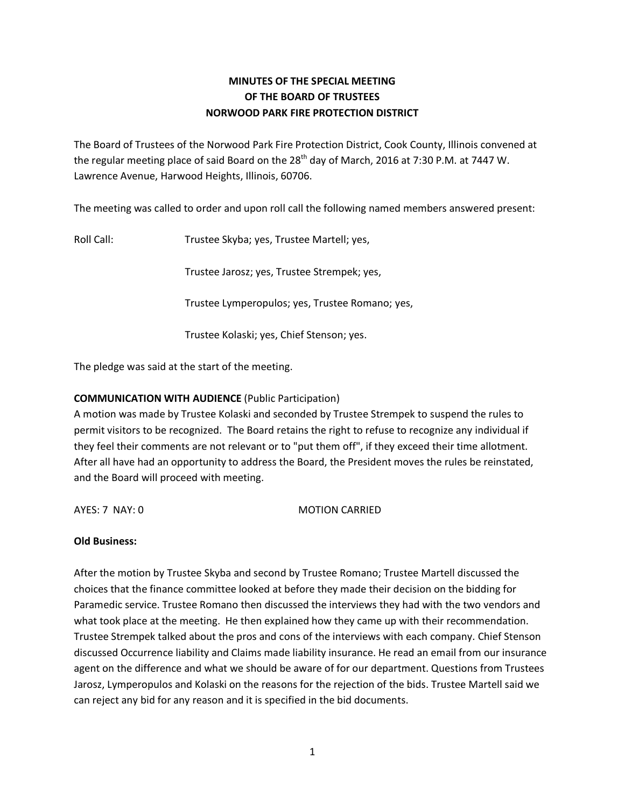# **MINUTES OF THE SPECIAL MEETING OF THE BOARD OF TRUSTEES NORWOOD PARK FIRE PROTECTION DISTRICT**

The Board of Trustees of the Norwood Park Fire Protection District, Cook County, Illinois convened at the regular meeting place of said Board on the 28<sup>th</sup> day of March, 2016 at 7:30 P.M. at 7447 W. Lawrence Avenue, Harwood Heights, Illinois, 60706.

The meeting was called to order and upon roll call the following named members answered present:

Roll Call: Trustee Skyba; yes, Trustee Martell; yes,

Trustee Jarosz; yes, Trustee Strempek; yes,

Trustee Lymperopulos; yes, Trustee Romano; yes,

Trustee Kolaski; yes, Chief Stenson; yes.

The pledge was said at the start of the meeting.

# **COMMUNICATION WITH AUDIENCE** (Public Participation)

A motion was made by Trustee Kolaski and seconded by Trustee Strempek to suspend the rules to permit visitors to be recognized. The Board retains the right to refuse to recognize any individual if they feel their comments are not relevant or to "put them off", if they exceed their time allotment. After all have had an opportunity to address the Board, the President moves the rules be reinstated, and the Board will proceed with meeting.

AYES: 7 NAY: 0 MOTION CARRIED

## **Old Business:**

After the motion by Trustee Skyba and second by Trustee Romano; Trustee Martell discussed the choices that the finance committee looked at before they made their decision on the bidding for Paramedic service. Trustee Romano then discussed the interviews they had with the two vendors and what took place at the meeting. He then explained how they came up with their recommendation. Trustee Strempek talked about the pros and cons of the interviews with each company. Chief Stenson discussed Occurrence liability and Claims made liability insurance. He read an email from our insurance agent on the difference and what we should be aware of for our department. Questions from Trustees Jarosz, Lymperopulos and Kolaski on the reasons for the rejection of the bids. Trustee Martell said we can reject any bid for any reason and it is specified in the bid documents.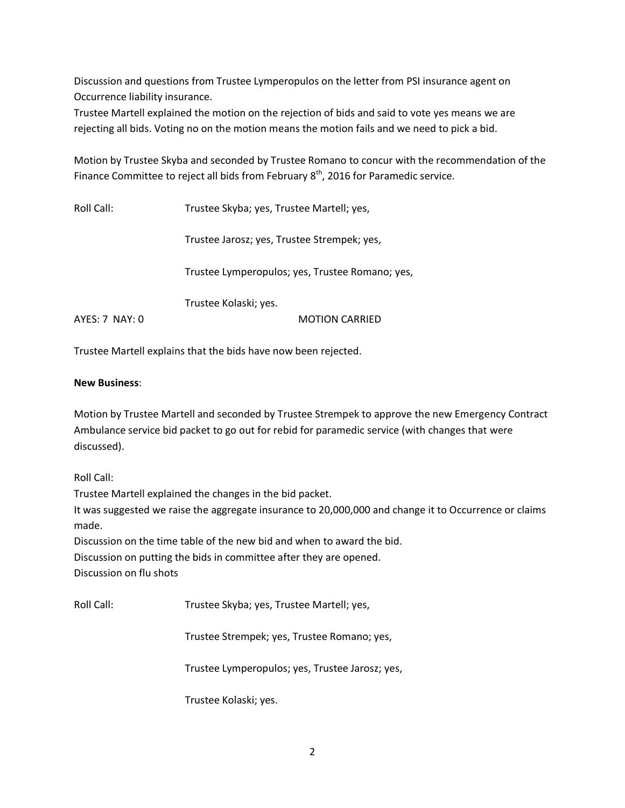Discussion and questions from Trustee Lymperopulos on the letter from PSI insurance agent on Occurrence liability insurance.

Trustee Martell explained the motion on the rejection of bids and said to vote yes means we are rejecting all bids. Voting no on the motion means the motion fails and we need to pick a bid.

Motion by Trustee Skyba and seconded by Trustee Romano to concur with the recommendation of the Finance Committee to reject all bids from February  $8<sup>th</sup>$ , 2016 for Paramedic service.

Roll Call: Trustee Skyba; yes, Trustee Martell; yes, Trustee Jarosz; yes, Trustee Strempek; yes, Trustee Lymperopulos; yes, Trustee Romano; yes, Trustee Kolaski; yes. AYES: 7 NAY: 0 MOTION CARRIED

Trustee Martell explains that the bids have now been rejected.

### **New Business**:

Motion by Trustee Martell and seconded by Trustee Strempek to approve the new Emergency Contract Ambulance service bid packet to go out for rebid for paramedic service (with changes that were discussed).

Roll Call:

Trustee Martell explained the changes in the bid packet.

It was suggested we raise the aggregate insurance to 20,000,000 and change it to Occurrence or claims made.

Discussion on the time table of the new bid and when to award the bid. Discussion on putting the bids in committee after they are opened.

Discussion on flu shots

Roll Call: Trustee Skyba; yes, Trustee Martell; yes,

Trustee Strempek; yes, Trustee Romano; yes,

Trustee Lymperopulos; yes, Trustee Jarosz; yes,

Trustee Kolaski; yes.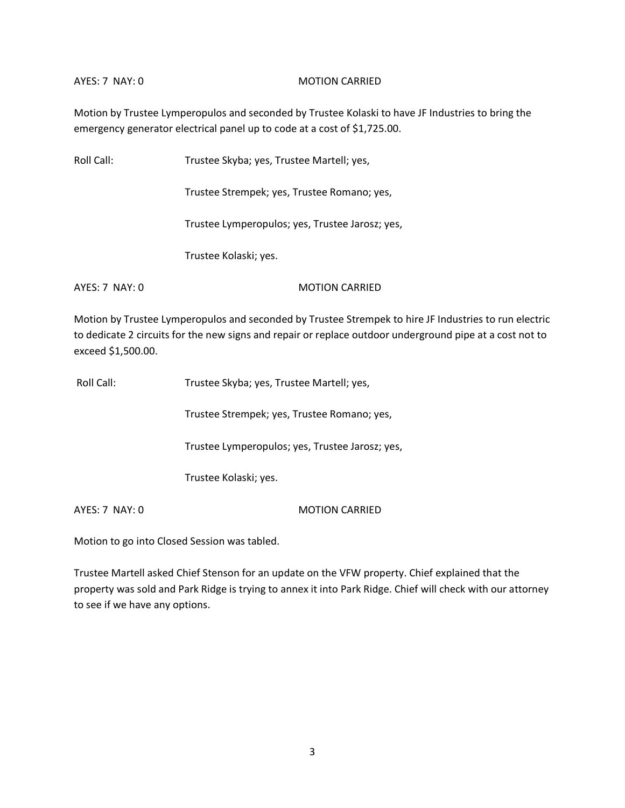#### AYES: 7 NAY: 0 MOTION CARRIED

Motion by Trustee Lymperopulos and seconded by Trustee Kolaski to have JF Industries to bring the emergency generator electrical panel up to code at a cost of \$1,725.00.

| Roll Call:     | Trustee Skyba; yes, Trustee Martell; yes,       |
|----------------|-------------------------------------------------|
|                | Trustee Strempek; yes, Trustee Romano; yes,     |
|                | Trustee Lymperopulos; yes, Trustee Jarosz; yes, |
|                | Trustee Kolaski; yes.                           |
| AYES: 7 NAY: 0 | <b>MOTION CARRIED</b>                           |

Motion by Trustee Lymperopulos and seconded by Trustee Strempek to hire JF Industries to run electric to dedicate 2 circuits for the new signs and repair or replace outdoor underground pipe at a cost not to exceed \$1,500.00.

| Roll Call:       | Trustee Skyba; yes, Trustee Martell; yes,       |
|------------------|-------------------------------------------------|
|                  | Trustee Strempek; yes, Trustee Romano; yes,     |
|                  | Trustee Lymperopulos; yes, Trustee Jarosz; yes, |
|                  | Trustee Kolaski; yes.                           |
| $AYES: 7$ NAY: 0 | <b>MOTION CARRIED</b>                           |

Motion to go into Closed Session was tabled.

Trustee Martell asked Chief Stenson for an update on the VFW property. Chief explained that the property was sold and Park Ridge is trying to annex it into Park Ridge. Chief will check with our attorney to see if we have any options.